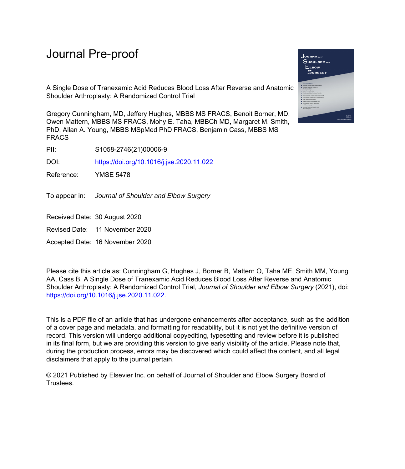A Single Dose of Tranexamic Acid Reduces Blood Loss After Reverse and Anatomic Shoulder Arthroplasty: A Randomized Control Trial

Gregory Cunningham, MD, Jeffery Hughes, MBBS MS FRACS, Benoit Borner, MD, Owen Mattern, MBBS MS FRACS, Mohy E. Taha, MBBCh MD, Margaret M. Smith, PhD, Allan A. Young, MBBS MSpMed PhD FRACS, Benjamin Cass, MBBS MS FRACS

PII: S1058-2746(21)00006-9

DOI: <https://doi.org/10.1016/j.jse.2020.11.022>

Reference: YMSE 5478

To appear in: Journal of Shoulder and Elbow Surgery

Received Date: 30 August 2020

Revised Date: 11 November 2020

Accepted Date: 16 November 2020

Please cite this article as: Cunningham G, Hughes J, Borner B, Mattern O, Taha ME, Smith MM, Young AA, Cass B, A Single Dose of Tranexamic Acid Reduces Blood Loss After Reverse and Anatomic Shoulder Arthroplasty: A Randomized Control Trial, *Journal of Shoulder and Elbow Surgery* (2021), doi: <https://doi.org/10.1016/j.jse.2020.11.022>.

This is a PDF file of an article that has undergone enhancements after acceptance, such as the addition of a cover page and metadata, and formatting for readability, but it is not yet the definitive version of record. This version will undergo additional copyediting, typesetting and review before it is published in its final form, but we are providing this version to give early visibility of the article. Please note that, during the production process, errors may be discovered which could affect the content, and all legal disclaimers that apply to the journal pertain.

© 2021 Published by Elsevier Inc. on behalf of Journal of Shoulder and Elbow Surgery Board of Trustees.

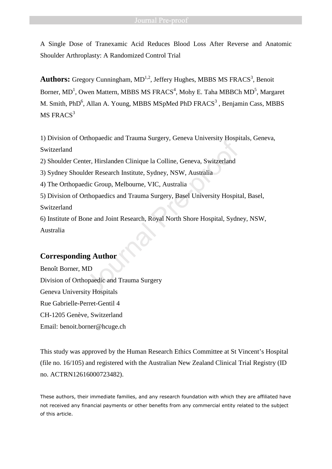A Single Dose of Tranexamic Acid Reduces Blood Loss After Reverse and Anatomic Shoulder Arthroplasty: A Randomized Control Trial

Authors: Gregory Cunningham, MD<sup>1,2</sup>, Jeffery Hughes, MBBS MS FRACS<sup>3</sup>, Benoit Borner, MD<sup>1</sup>, Owen Mattern, MBBS MS FRACS<sup>4</sup>, Mohy E. Taha MBBCh MD<sup>5</sup>, Margaret M. Smith, PhD<sup>6</sup>, Allan A. Young, MBBS MSpMed PhD  $FRACS<sup>3</sup>$ , Benjamin Cass, MBBS  $MS$  FRACS<sup>3</sup>

1) Division of Orthopaedic and Trauma Surgery, Geneva University Hospitals, Geneva, Switzerland

2) Shoulder Center, Hirslanden Clinique la Colline, Geneva, Switzerland

3) Sydney Shoulder Research Institute, Sydney, NSW, Australia

4) The Orthopaedic Group, Melbourne, VIC, Australia

5) Division of Orthopaedics and Trauma Surgery, Basel University Hospital, Basel,

Switzerland

6) Institute of Bone and Joint Research, Royal North Shore Hospital, Sydney, NSW, Australia Example 2013<br>Inter, Hirslanden Clinique la Colline, Geneva, Switzerland<br>der Research Institute, Sydney, NSW, Australia<br>dic Group, Melbourne, VIC, Australia<br>Thopaedics and Trauma Surgery, Basel University Hospita<br>Inne and J

# **Corresponding Author**

Benoît Borner, MD Division of Orthopaedic and Trauma Surgery Geneva University Hospitals Rue Gabrielle-Perret-Gentil 4 CH-1205 Genève, Switzerland Email: benoit.borner@hcuge.ch

This study was approved by the Human Research Ethics Committee at St Vincent's Hospital (file no. 16/105) and registered with the Australian New Zealand Clinical Trial Registry (ID no. ACTRN12616000723482).

These authors, their immediate families, and any research foundation with which they are affiliated have not received any financial payments or other benefits from any commercial entity related to the subject of this article.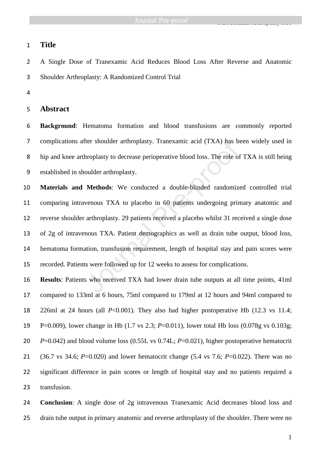TXA Showledge Arthrope and the Showledge Arthrope and the Showledge Arthrope and the Showledge Arthrope and th

# **Title**

A Single Dose of Tranexamic Acid Reduces Blood Loss After Reverse and Anatomic Shoulder Arthroplasty: A Randomized Control Trial

# **Abstract**

**Background**: Hematoma formation and blood transfusions are commonly reported complications after shoulder arthroplasty. Tranexamic acid (TXA) has been widely used in hip and knee arthroplasty to decrease perioperative blood loss. The role of TXA is still being established in shoulder arthroplasty.

**Materials and Methods**: We conducted a double-blinded randomized controlled trial comparing intravenous TXA to placebo in 60 patients undergoing primary anatomic and reverse shoulder arthroplasty. 29 patients received a placebo whilst 31 received a single dose of 2g of intravenous TXA. Patient demographics as well as drain tube output, blood loss, hematoma formation, transfusion requirement, length of hospital stay and pain scores were recorded. Patients were followed up for 12 weeks to assess for complications. The shoulder arthroplasty. Tranexamic acid (TXA) has been shownplasty to decrease perioperative blood loss. The role of oulder arthroplasty.<br> **Methods:** We conducted a double-blinded randomize venous TXA to placebo in 60 p

**Results**: Patients who received TXA had lower drain tube outputs at all time points, 41ml compared to 133ml at 6 hours, 75ml compared to 179ml at 12 hours and 94ml compared to 226ml at 24 hours (all *P*<0.001). They also had higher postoperative Hb (12.3 vs 11.4; P=0.009), lower change in Hb (1.7 vs 2.3; *P*=0.011), lower total Hb loss (0.078g vs 0.103g; *P*=0.042) and blood volume loss (0.55L vs 0.74L; *P*=0.021), higher postoperative hematocrit (36.7 vs 34.6; *P*=0.020) and lower hematocrit change (5.4 vs 7.6; *P*=0.022). There was no significant difference in pain scores or length of hospital stay and no patients required a transfusion.

**Conclusion**: A single dose of 2g intravenous Tranexamic Acid decreases blood loss and drain tube output in primary anatomic and reverse arthroplasty of the shoulder. There were no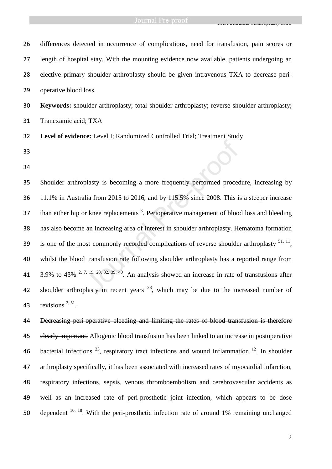TXA Showledge Arthrope and the Showledge Arthrope and the Showledge Arthrope and the Showledge Arthrope and th

| 26 | differences detected in occurrence of complications, need for transfusion, pain scores or                |
|----|----------------------------------------------------------------------------------------------------------|
| 27 | length of hospital stay. With the mounting evidence now available, patients undergoing an                |
| 28 | elective primary shoulder arthroplasty should be given intravenous TXA to decrease peri-                 |
| 29 | operative blood loss.                                                                                    |
| 30 | Keywords: shoulder arthroplasty; total shoulder arthroplasty; reverse shoulder arthroplasty;             |
| 31 | Tranexamic acid; TXA                                                                                     |
| 32 | Level of evidence: Level I; Randomized Controlled Trial; Treatment Study                                 |
| 33 |                                                                                                          |
| 34 |                                                                                                          |
| 35 | Shoulder arthroplasty is becoming a more frequently performed procedure, increasing by                   |
| 36 | 11.1% in Australia from 2015 to 2016, and by 115.5% since 2008. This is a steeper increase               |
| 37 | than either hip or knee replacements <sup>3</sup> . Perioperative management of blood loss and bleeding  |
| 38 | has also become an increasing area of interest in shoulder arthroplasty. Hematoma formation              |
| 39 | is one of the most commonly recorded complications of reverse shoulder arthroplasty $51, 11$ ,           |
| 40 | whilst the blood transfusion rate following shoulder arthroplasty has a reported range from              |
| 41 | 3.9% to 43% $^{2}$ , 7, 19, 20, 32, 39, 40. An analysis showed an increase in rate of transfusions after |
| 42 | shoulder arthroplasty in recent years <sup>38</sup> , which may be due to the increased number of        |
| 43 | revisions $^{2, 51}$ .                                                                                   |

44 Decreasing peri-operative bleeding and limiting the rates of blood transfusion is therefore 45 elearly important. Allogenic blood transfusion has been linked to an increase in postoperative 46 bacterial infections  $^{23}$ , respiratory tract infections and wound inflammation  $^{12}$ . In shoulder 47 arthroplasty specifically, it has been associated with increased rates of myocardial infarction, 48 respiratory infections, sepsis, venous thromboembolism and cerebrovascular accidents as 49 well as an increased rate of peri-prosthetic joint infection, which appears to be dose 50 dependent  $10, 18$ . With the peri-prosthetic infection rate of around 1% remaining unchanged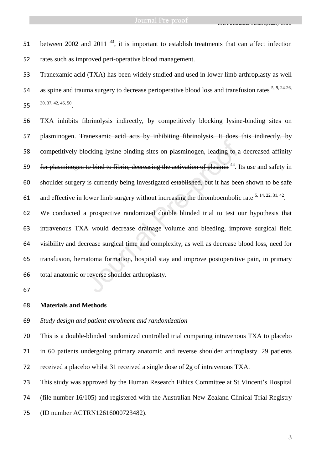TXA Showledge Arthrope and the Showledge Arthrope and the Showledge Arthrope and

51 between 2002 and 2011<sup>33</sup>, it is important to establish treatments that can affect infection rates such as improved peri-operative blood management.

Tranexamic acid (TXA) has been widely studied and used in lower limb arthroplasty as well 54 as spine and trauma surgery to decrease perioperative blood loss and transfusion rates <sup>5, 9, 24-26,</sup> 55  $30, 37, 42, 46, 50$ .

TXA inhibits fibrinolysis indirectly, by competitively blocking lysine-binding sites on plasminogen. Tranexamic acid acts by inhibiting fibrinolysis. It does this indirectly, by competitively blocking lysine-binding sites on plasminogen, leading to a decreased affinity 59 for plasminogen to bind to fibrin, decreasing the activation of plasmin<sup>44</sup>. Its use and safety in shoulder surgery is currently being investigated established, but it has been shown to be safe 61 and effective in lower limb surgery without increasing the thromboembolic rate  $5, 14, 22, 31, 42$ .

We conducted a prospective randomized double blinded trial to test our hypothesis that intravenous TXA would decrease drainage volume and bleeding, improve surgical field visibility and decrease surgical time and complexity, as well as decrease blood loss, need for transfusion, hematoma formation, hospital stay and improve postoperative pain, in primary total anatomic or reverse shoulder arthroplasty. ocking lysine binding sites on plasminogen, leading to a<br>to bind to fibrin, decreasing the activation of plasmin<sup>44</sup>. I<br>is currently being investigated established, but it has bee<br>lower limb surgery without increasing the

### **Materials and Methods**

# *Study design and patient enrolment and randomization*

This is a double-blinded randomized controlled trial comparing intravenous TXA to placebo in 60 patients undergoing primary anatomic and reverse shoulder arthroplasty. 29 patients received a placebo whilst 31 received a single dose of 2g of intravenous TXA.

This study was approved by the Human Research Ethics Committee at St Vincent's Hospital

(file number 16/105) and registered with the Australian New Zealand Clinical Trial Registry

(ID number ACTRN12616000723482).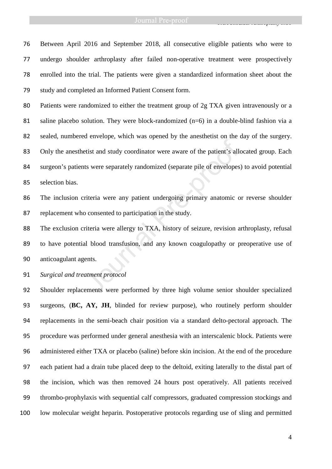TXA Showledge Arthrope and the Showledge Arthrope and the Showledge Arthrope and

Between April 2016 and September 2018, all consecutive eligible patients who were to undergo shoulder arthroplasty after failed non-operative treatment were prospectively enrolled into the trial. The patients were given a standardized information sheet about the study and completed an Informed Patient Consent form.

Patients were randomized to either the treatment group of 2g TXA given intravenously or a 81 saline placebo solution. They were block-randomized (n=6) in a double-blind fashion via a sealed, numbered envelope, which was opened by the anesthetist on the day of the surgery. 83 Only the anesthetist and study coordinator were aware of the patient's allocated group. Each surgeon's patients were separately randomized (separate pile of envelopes) to avoid potential selection bias. Trivial and study coordinator were aware of the patient's allest were separately randomized (separate pile of envelopes<br>riteria were any patient undergoing primary anatomic consented to participation in the study.<br>viteria

The inclusion criteria were any patient undergoing primary anatomic or reverse shoulder replacement who consented to participation in the study.

The exclusion criteria were allergy to TXA, history of seizure, revision arthroplasty, refusal to have potential blood transfusion, and any known coagulopathy or preoperative use of anticoagulant agents.

*Surgical and treatment protocol* 

Shoulder replacements were performed by three high volume senior shoulder specialized surgeons, (**BC, AY, JH**, blinded for review purpose), who routinely perform shoulder replacements in the semi-beach chair position via a standard delto-pectoral approach. The procedure was performed under general anesthesia with an interscalenic block. Patients were administered either TXA or placebo (saline) before skin incision. At the end of the procedure each patient had a drain tube placed deep to the deltoid, exiting laterally to the distal part of the incision, which was then removed 24 hours post operatively. All patients received thrombo-prophylaxis with sequential calf compressors, graduated compression stockings and low molecular weight heparin. Postoperative protocols regarding use of sling and permitted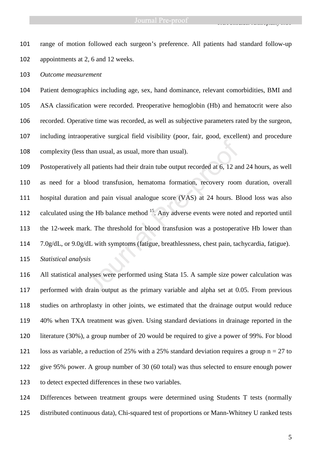TXA Showledge Arthrope and the Showledge Arthrope and the Showledge Arthrope and

range of motion followed each surgeon's preference. All patients had standard follow-up appointments at 2, 6 and 12 weeks.

*Outcome measurement* 

Patient demographics including age, sex, hand dominance, relevant comorbidities, BMI and ASA classification were recorded. Preoperative hemoglobin (Hb) and hematocrit were also recorded. Operative time was recorded, as well as subjective parameters rated by the surgeon, including intraoperative surgical field visibility (poor, fair, good, excellent) and procedure complexity (less than usual, as usual, more than usual).

Postoperatively all patients had their drain tube output recorded at 6, 12 and 24 hours, as well as need for a blood transfusion, hematoma formation, recovery room duration, overall hospital duration and pain visual analogue score (VAS) at 24 hours. Blood loss was also 112 calculated using the Hb balance method <sup>15</sup>. Any adverse events were noted and reported until the 12-week mark. The threshold for blood transfusion was a postoperative Hb lower than 7.0g/dL, or 9.0g/dL with symptoms (fatigue, breathlessness, chest pain, tachycardia, fatigue). than usual, as usual, more than usual).<br>
all patients had their drain tube output recorded at 6, 12 an<br>
blood transfusion, hematoma formation, recovery room<br>
1 and pain visual analogue score (VAS) at 24 hours. B<br>
the Hb ba

*Statistical analysis* 

All statistical analyses were performed using Stata 15. A sample size power calculation was performed with drain output as the primary variable and alpha set at 0.05. From previous studies on arthroplasty in other joints, we estimated that the drainage output would reduce 40% when TXA treatment was given. Using standard deviations in drainage reported in the literature (30%), a group number of 20 would be required to give a power of 99%. For blood 121 loss as variable, a reduction of 25% with a 25% standard deviation requires a group  $n = 27$  to give 95% power. A group number of 30 (60 total) was thus selected to ensure enough power to detect expected differences in these two variables.

Differences between treatment groups were determined using Students T tests (normally distributed continuous data), Chi-squared test of proportions or Mann-Whitney U ranked tests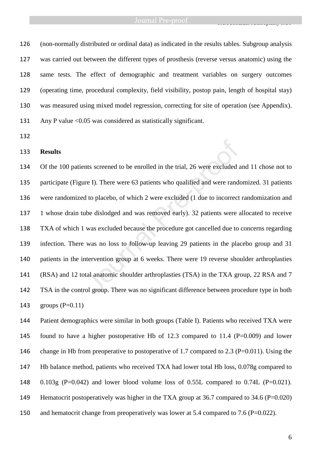TXA Showledge Arthrope and the Showledge Arthrope and the Showledge Arthrope and

(non-normally distributed or ordinal data) as indicated in the results tables. Subgroup analysis was carried out between the different types of prosthesis (reverse versus anatomic) using the same tests. The effect of demographic and treatment variables on surgery outcomes (operating time, procedural complexity, field visibility, postop pain, length of hospital stay) was measured using mixed model regression, correcting for site of operation (see Appendix). 131 Any P value <0.05 was considered as statistically significant.

### **Results**

Of the 100 patients screened to be enrolled in the trial, 26 were excluded and 11 chose not to participate (Figure I). There were 63 patients who qualified and were randomized. 31 patients were randomized to placebo, of which 2 were excluded (1 due to incorrect randomization and 1 whose drain tube dislodged and was removed early). 32 patients were allocated to receive TXA of which 1 was excluded because the procedure got cancelled due to concerns regarding infection. There was no loss to follow-up leaving 29 patients in the placebo group and 31 patients in the intervention group at 6 weeks. There were 19 reverse shoulder arthroplasties (RSA) and 12 total anatomic shoulder arthroplasties (TSA) in the TXA group, 22 RSA and 7 TSA in the control group. There was no significant difference between procedure type in both groups (P=0.11) nts screened to be enrolled in the trial, 26 were excluded a<br>re I). There were 63 patients who qualified and were randel<br>to placebo, of which 2 were excluded (1 due to incorrect<br>the dislodged and was removed early). 32 pat

Patient demographics were similar in both groups (Table I). Patients who received TXA were found to have a higher postoperative Hb of 12.3 compared to 11.4 (P=0.009) and lower 146 change in Hb from preoperative to postoperative of 1.7 compared to 2.3 (P=0.011). Using the Hb balance method, patients who received TXA had lower total Hb loss, 0.078g compared to 148  $0.103g$  (P=0.042) and lower blood volume loss of 0.55L compared to 0.74L (P=0.021). 149 Hematocrit postoperatively was higher in the TXA group at 36.7 compared to 34.6 (P=0.020) 150 and hematocrit change from preoperatively was lower at 5.4 compared to 7.6 (P=0.022).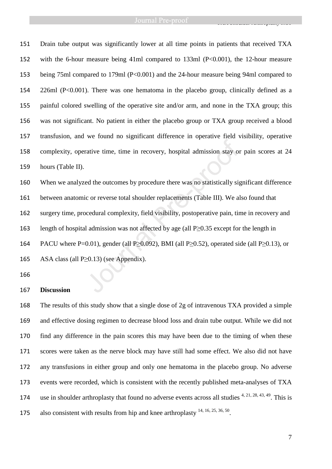Drain tube output was significantly lower at all time points in patients that received TXA with the 6-hour measure being 41ml compared to 133ml (P<0.001), the 12-hour measure being 75ml compared to 179ml (P<0.001) and the 24-hour measure being 94ml compared to 226ml (P<0.001). There was one hematoma in the placebo group, clinically defined as a painful colored swelling of the operative site and/or arm, and none in the TXA group; this was not significant. No patient in either the placebo group or TXA group received a blood transfusion, and we found no significant difference in operative field visibility, operative complexity, operative time, time in recovery, hospital admission stay or pain scores at 24 hours (Table II).

When we analyzed the outcomes by procedure there was no statistically significant difference between anatomic or reverse total shoulder replacements (Table III). We also found that surgery time, procedural complexity, field visibility, postoperative pain, time in recovery and length of hospital admission was not affected by age (all P≥0.35 except for the length in 164 PACU where P=0.01), gender (all P≥0.092), BMI (all P≥0.52), operated side (all P≥0.13), or ASA class (all P≥0.13) (see Appendix). rative time, time in recovery, hospital admission stay or<br>ed the outcomes by procedure there was no statistically signal ed the outcomes by procedure there was no statistically signal<br>is correverse total shoulder replacem

### **Discussion**

The results of this study show that a single dose of 2g of intravenous TXA provided a simple and effective dosing regimen to decrease blood loss and drain tube output. While we did not find any difference in the pain scores this may have been due to the timing of when these scores were taken as the nerve block may have still had some effect. We also did not have any transfusions in either group and only one hematoma in the placebo group. No adverse events were recorded, which is consistent with the recently published meta-analyses of TXA 174 use in shoulder arthroplasty that found no adverse events across all studies  $4, 21, 28, 43, 49$ . This is 175 also consistent with results from hip and knee arthroplasty  $14, 16, 25, 36, 50$ .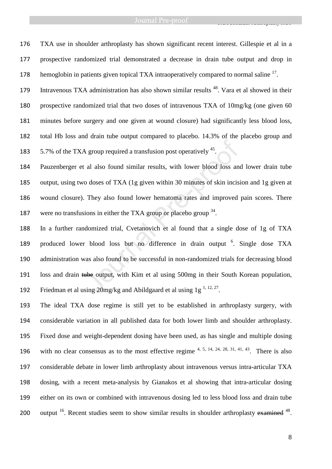TXA Showledge Arthrope and the Showledge Arthrope and the Showledge Arthrope and

TXA use in shoulder arthroplasty has shown significant recent interest. Gillespie et al in a prospective randomized trial demonstrated a decrease in drain tube output and drop in 178 hemoglobin in patients given topical TXA intraoperatively compared to normal saline .

179 Intravenous TXA administration has also shown similar results . Vara et al showed in their prospective randomized trial that two doses of intravenous TXA of 10mg/kg (one given 60 minutes before surgery and one given at wound closure) had significantly less blood loss, total Hb loss and drain tube output compared to placebo. 14.3% of the placebo group and  $5.7\%$  of the TXA group required a transfusion post operatively  $45$ .

Pauzenberger et al also found similar results, with lower blood loss and lower drain tube output, using two doses of TXA (1g given within 30 minutes of skin incision and 1g given at wound closure). They also found lower hematoma rates and improved pain scores. There 187 were no transfusions in either the TXA group or placebo group .

In a further randomized trial, Cvetanovich et al found that a single dose of 1g of TXA 189 produced lower blood loss but no difference in drain output <sup>6</sup>. Single dose TXA administration was also found to be successful in non-randomized trials for decreasing blood loss and drain tube output, with Kim et al using 500mg in their South Korean population, 192 Friedman et al using mg/kg and Abildgaard et al using  $1g<sup>1, 12, 27</sup>$ . A group required a transfusion post operatively <sup>45</sup>.<br>al also found similar results, with lower blood loss and<br>o doses of TXA (1g given within 30 minutes of skin incis<br>They also found lower hematoma rates and improved<br>ion

The ideal TXA dose regime is still yet to be established in arthroplasty surgery, with considerable variation in all published data for both lower limb and shoulder arthroplasty. Fixed dose and weight-dependent dosing have been used, as has single and multiple dosing 196 with no clear consensus as to the most effective regime  $4, 5, 14, 24, 28, 31, 41, 43$ . There is also considerable debate in lower limb arthroplasty about intravenous versus intra-articular TXA dosing, with a recent meta-analysis by Gianakos et al showing that intra-articular dosing either on its own or combined with intravenous dosing led to less blood loss and drain tube 200 output . Recent studies seem to show similar results in shoulder arthroplasty examined  $48$ .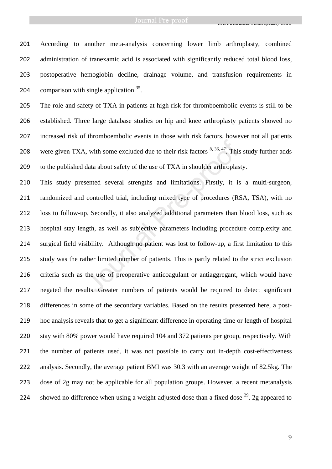According to another meta-analysis concerning lower limb arthroplasty, combined 202 administration of tranexamic acid is associated with significantly reduced total blood loss, postoperative hemoglobin decline, drainage volume, and transfusion requirements in 204 comparison with single application .

The role and safety of TXA in patients at high risk for thromboembolic events is still to be established. Three large database studies on hip and knee arthroplasty patients showed no increased risk of thromboembolic events in those with risk factors, however not all patients 208 were given TXA, with some excluded due to their risk factors  $8,36,47$ . This study further adds to the published data about safety of the use of TXA in shoulder arthroplasty.

This study presented several strengths and limitations. Firstly, it is a multi-surgeon, randomized and controlled trial, including mixed type of procedures (RSA, TSA), with no loss to follow-up. Secondly, it also analyzed additional parameters than blood loss, such as hospital stay length, as well as subjective parameters including procedure complexity and surgical field visibility. Although no patient was lost to follow-up, a first limitation to this study was the rather limited number of patients. This is partly related to the strict exclusion criteria such as the use of preoperative anticoagulant or antiaggregant, which would have negated the results. Greater numbers of patients would be required to detect significant differences in some of the secondary variables. Based on the results presented here, a post-hoc analysis reveals that to get a significant difference in operating time or length of hospital stay with 80% power would have required 104 and 372 patients per group, respectively. With the number of patients used, it was not possible to carry out in-depth cost-effectiveness analysis. Secondly, the average patient BMI was 30.3 with an average weight of 82.5kg. The dose of 2g may not be applicable for all population groups. However, a recent metanalysis 224 showed no difference when using a weight-adjusted dose than a fixed dose  $^{29}$ . 2g appeared to at the solution of their risk factors  $8, 36, 47$ . This<br>data about safety of the use of TXA in shoulder arthroplas<br>sented several strengths and limitations. Firstly, it is<br>controlled trial, including mixed type of procedu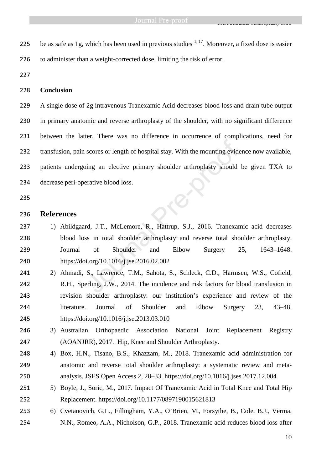225 be as safe as 1g, which has been used in previous studies  $1, 17$ . Moreover, a fixed dose is easier to administer than a weight-corrected dose, limiting the risk of error.

# **Conclusion**

A single dose of 2g intravenous Tranexamic Acid decreases blood loss and drain tube output 230 in primary anatomic and reverse arthroplasty of the shoulder, with no significant difference between the latter. There was no difference in occurrence of complications, need for transfusion, pain scores or length of hospital stay. With the mounting evidence now available, patients undergoing an elective primary shoulder arthroplasty should be given TXA to decrease peri-operative blood loss. scores or length of hospital stay. With the mounting evidency<br>
ing an elective primary shoulder arthroplasty should<br>
erative blood loss.<br>
In the blood loss.<br>
In the J.T., McLemore, R., Hattrup, S.J., 2016. Tranexar<br>
ss in

### **References**

- 1) Abildgaard, J.T., McLemore, R., Hattrup, S.J., 2016. Tranexamic acid decreases blood loss in total shoulder arthroplasty and reverse total shoulder arthroplasty. Journal of Shoulder and Elbow Surgery 25, 1643–1648. https://doi.org/10.1016/j.jse.2016.02.002
- 2) Ahmadi, S., Lawrence, T.M., Sahota, S., Schleck, C.D., Harmsen, W.S., Cofield, R.H., Sperling, J.W., 2014. The incidence and risk factors for blood transfusion in revision shoulder arthroplasty: our institution's experience and review of the literature. Journal of Shoulder and Elbow Surgery 23, 43–48. https://doi.org/10.1016/j.jse.2013.03.010
- 3) Australian Orthopaedic Association National Joint Replacement Registry (AOANJRR), 2017. Hip, Knee and Shoulder Arthroplasty.
- 4) Box, H.N., Tisano, B.S., Khazzam, M., 2018. Tranexamic acid administration for anatomic and reverse total shoulder arthroplasty: a systematic review and meta-analysis. JSES Open Access 2, 28–33. https://doi.org/10.1016/j.jses.2017.12.004
- 251 5) Boyle, J., Soric, M., 2017. Impact Of Tranexamic Acid in Total Knee and Total Hip Replacement. https://doi.org/10.1177/0897190015621813
- 6) Cvetanovich, G.L., Fillingham, Y.A., O'Brien, M., Forsythe, B., Cole, B.J., Verma, N.N., Romeo, A.A., Nicholson, G.P., 2018. Tranexamic acid reduces blood loss after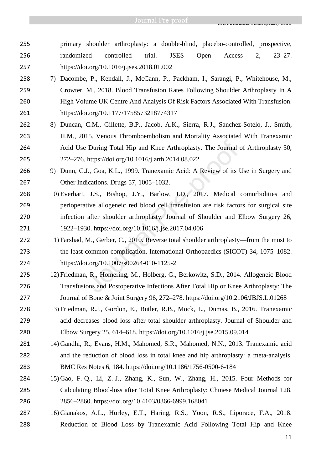- primary shoulder arthroplasty: a double-blind, placebo-controlled, prospective, randomized controlled trial. JSES Open Access 2, 23–27. https://doi.org/10.1016/j.jses.2018.01.002
- 7) Dacombe, P., Kendall, J., McCann, P., Packham, I., Sarangi, P., Whitehouse, M., Crowter, M., 2018. Blood Transfusion Rates Following Shoulder Arthroplasty In A High Volume UK Centre And Analysis Of Risk Factors Associated With Transfusion. https://doi.org/10.1177/1758573218774317
- 8) Duncan, C.M., Gillette, B.P., Jacob, A.K., Sierra, R.J., Sanchez-Sotelo, J., Smith, H.M., 2015. Venous Thromboembolism and Mortality Associated With Tranexamic Acid Use During Total Hip and Knee Arthroplasty. The Journal of Arthroplasty 30, 272–276. https://doi.org/10.1016/j.arth.2014.08.022
- 9) Dunn, C.J., Goa, K.L., 1999. Tranexamic Acid: A Review of its Use in Surgery and Other Indications. Drugs 57, 1005–1032.
- 10) Everhart, J.S., Bishop, J.Y., Barlow, J.D., 2017. Medical comorbidities and perioperative allogeneic red blood cell transfusion are risk factors for surgical site infection after shoulder arthroplasty. Journal of Shoulder and Elbow Surgery 26, 1922–1930. https://doi.org/10.1016/j.jse.2017.04.006 2 During Total Hip and Knee Arthroplasty. The Journal chttps://doi.org/10.1016/j.arth.2014.08.022<br>J., Goa, K.L., 1999. Tranexamic Acid: A Review of its lications. Drugs 57, 1005–1032.<br>J.S., Bishop, J.Y., Barlow, J.D., 2017
- 272 11) Farshad, M., Gerber, C., 2010. Reverse total shoulder arthroplasty—from the most to the least common complication. International Orthopaedics (SICOT) 34, 1075–1082. https://doi.org/10.1007/s00264-010-1125-2
- 12) Friedman, R., Homering, M., Holberg, G., Berkowitz, S.D., 2014. Allogeneic Blood Transfusions and Postoperative Infections After Total Hip or Knee Arthroplasty: The Journal of Bone & Joint Surgery 96, 272–278. https://doi.org/10.2106/JBJS.L.01268
- 13) Friedman, R.J., Gordon, E., Butler, R.B., Mock, L., Dumas, B., 2016. Tranexamic acid decreases blood loss after total shoulder arthroplasty. Journal of Shoulder and Elbow Surgery 25, 614–618. https://doi.org/10.1016/j.jse.2015.09.014
- 14) Gandhi, R., Evans, H.M., Mahomed, S.R., Mahomed, N.N., 2013. Tranexamic acid and the reduction of blood loss in total knee and hip arthroplasty: a meta-analysis. BMC Res Notes 6, 184. https://doi.org/10.1186/1756-0500-6-184
- 15) Gao, F.-Q., Li, Z.-J., Zhang, K., Sun, W., Zhang, H., 2015. Four Methods for Calculating Blood-loss after Total Knee Arthroplasty: Chinese Medical Journal 128, 2856–2860. https://doi.org/10.4103/0366-6999.168041
- 16) Gianakos, A.L., Hurley, E.T., Haring, R.S., Yoon, R.S., Liporace, F.A., 2018. Reduction of Blood Loss by Tranexamic Acid Following Total Hip and Knee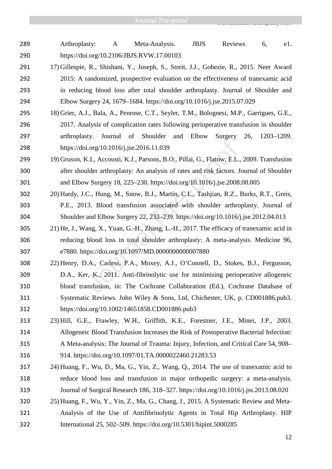- Arthroplasty: A Meta-Analysis. JBJS Reviews 6, e1. https://doi.org/10.2106/JBJS.RVW.17.00103
- 17) Gillespie, R., Shishani, Y., Joseph, S., Streit, J.J., Gobezie, R., 2015. Neer Award 2015: A randomized, prospective evaluation on the effectiveness of tranexamic acid in reducing blood loss after total shoulder arthroplasty. Journal of Shoulder and Elbow Surgery 24, 1679–1684. https://doi.org/10.1016/j.jse.2015.07.029
- 18) Grier, A.J., Bala, A., Penrose, C.T., Seyler, T.M., Bolognesi, M.P., Garrigues, G.E., 2017. Analysis of complication rates following perioperative transfusion in shoulder arthroplasty. Journal of Shoulder and Elbow Surgery 26, 1203–1209. https://doi.org/10.1016/j.jse.2016.11.039
- 19) Gruson, K.I., Accousti, K.J., Parsons, B.O., Pillai, G., Flatow, E.L., 2009. Transfusion after shoulder arthroplasty: An analysis of rates and risk factors. Journal of Shoulder and Elbow Surgery 18, 225–230. https://doi.org/10.1016/j.jse.2008.08.005
- 20) Hardy, J.C., Hung, M., Snow, B.J., Martin, C.L., Tashjian, R.Z., Burks, R.T., Greis, P.E., 2013. Blood transfusion associated with shoulder arthroplasty. Journal of Shoulder and Elbow Surgery 22, 233–239. https://doi.org/10.1016/j.jse.2012.04.013
- 21) He, J., Wang, X., Yuan, G.-H., Zhang, L.-H., 2017. The efficacy of tranexamic acid in reducing blood loss in total shoulder arthroplasty: A meta-analysis. Medicine 96, e7880. https://doi.org/10.1097/MD.0000000000007880
- 22) Henry, D.A., Carless, P.A., Moxey, A.J., O'Connell, D., Stokes, B.J., Fergusson, D.A., Ker, K., 2011. Anti-fibrinolytic use for minimising perioperative allogeneic blood transfusion, in: The Cochrane Collaboration (Ed.), Cochrane Database of Systematic Reviews. John Wiley & Sons, Ltd, Chichester, UK, p. CD001886.pub3. https://doi.org/10.1002/14651858.CD001886.pub3 i.org/10.1016/j.jse.2016.11.039<br>I.org/10.1016/j.jse.2016.11.039<br>K.I., Accousti, K.J., Parsons, B.O., Pillai, G., Flatow, E.L.<br>ulder arthroplasty: An analysis of rates and risk factors. J<br>w Surgery 18, 225–230. https://doi.
- 23) Hill, G.E., Frawley, W.H., Griffith, K.E., Forestner, J.E., Minei, J.P., 2003. Allogeneic Blood Transfusion Increases the Risk of Postoperative Bacterial Infection: A Meta-analysis: The Journal of Trauma: Injury, Infection, and Critical Care 54, 908– 914. https://doi.org/10.1097/01.TA.0000022460.21283.53
- 24) Huang, F., Wu, D., Ma, G., Yin, Z., Wang, Q., 2014. The use of tranexamic acid to reduce blood loss and transfusion in major orthopedic surgery: a meta-analysis. Journal of Surgical Research 186, 318–327. https://doi.org/10.1016/j.jss.2013.08.020
- 25) Huang, F., Wu, Y., Yin, Z., Ma, G., Chang, J., 2015. A Systematic Review and Meta-Analysis of the Use of Antifibrinolytic Agents in Total Hip Arthroplasty. HIP International 25, 502–509. https://doi.org/10.5301/hipint.5000285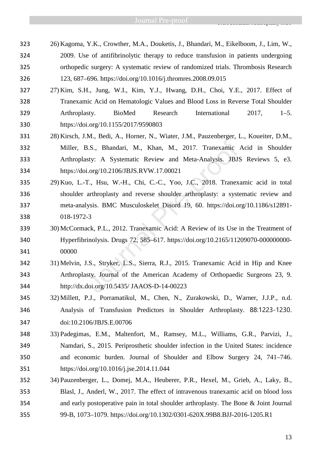- 26) Kagoma, Y.K., Crowther, M.A., Douketis, J., Bhandari, M., Eikelboom, J., Lim, W., 2009. Use of antifibrinolytic therapy to reduce transfusion in patients undergoing orthopedic surgery: A systematic review of randomized trials. Thrombosis Research 123, 687–696. https://doi.org/10.1016/j.thromres.2008.09.015
- 27) Kim, S.H., Jung, W.I., Kim, Y.J., Hwang, D.H., Choi, Y.E., 2017. Effect of Tranexamic Acid on Hematologic Values and Blood Loss in Reverse Total Shoulder Arthroplasty. BioMed Research International 2017, 1–5. https://doi.org/10.1155/2017/9590803
- 28) Kirsch, J.M., Bedi, A., Horner, N., Wiater, J.M., Pauzenberger, L., Koueiter, D.M., Miller, B.S., Bhandari, M., Khan, M., 2017. Tranexamic Acid in Shoulder Arthroplasty: A Systematic Review and Meta-Analysis. JBJS Reviews 5, e3. https://doi.org/10.2106/JBJS.RVW.17.00021
- 29) Kuo, L.-T., Hsu, W.-H., Chi, C.-C., Yoo, J.C., 2018. Tranexamic acid in total shoulder arthroplasty and reverse shoulder arthroplasty: a systematic review and meta-analysis. BMC Musculoskelet Disord 19, 60. https://doi.org/10.1186/s12891- 018-1972-3 B.S., Bhandari, M., Khan, M., 2017. Tranexamic<br>sty: A Systematic Review and Meta-Analysis. JBJS<br>i.org/10.2106/JBJS.RVW.17.00021<br>T., Hsu, W.-H., Chi, C.-C., Yoo, J.C., 2018. Tranexanthroplasty and reverse shoulder arthropla
- 30) McCormack, P.L., 2012. Tranexamic Acid: A Review of its Use in the Treatment of Hyperfibrinolysis. Drugs 72, 585–617. https://doi.org/10.2165/11209070-000000000- 00000
- 31) Melvin, J.S., Stryker, L.S., Sierra, R.J., 2015. Tranexamic Acid in Hip and Knee Arthroplasty. Journal of the American Academy of Orthopaedic Surgeons 23, 9. http://dx.doi.org/10.5435/ JAAOS-D-14-00223
- 32) Millett, P.J., Porramatikul, M., Chen, N., Zurakowski, D., Warner, J.J.P., n.d. Analysis of Transfusion Predictors in Shoulder Arthroplasty. 88:1223-1230. doi:10.2106/JBJS.E.00706
- 33) Padegimas, E.M., Maltenfort, M., Ramsey, M.L., Williams, G.R., Parvizi, J., Namdari, S., 2015. Periprosthetic shoulder infection in the United States: incidence and economic burden. Journal of Shoulder and Elbow Surgery 24, 741–746. https://doi.org/10.1016/j.jse.2014.11.044
- 34) Pauzenberger, L., Domej, M.A., Heuberer, P.R., Hexel, M., Grieb, A., Laky, B., Blasl, J., Anderl, W., 2017. The effect of intravenous tranexamic acid on blood loss and early postoperative pain in total shoulder arthroplasty. The Bone & Joint Journal 99-B, 1073–1079. https://doi.org/10.1302/0301-620X.99B8.BJJ-2016-1205.R1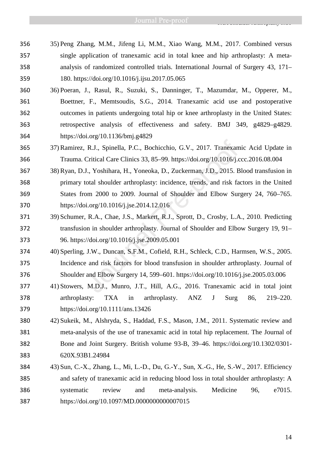- 35) Peng Zhang, M.M., Jifeng Li, M.M., Xiao Wang, M.M., 2017. Combined versus single application of tranexamic acid in total knee and hip arthroplasty: A meta-analysis of randomized controlled trials. International Journal of Surgery 43, 171– 180. https://doi.org/10.1016/j.ijsu.2017.05.065
- 36) Poeran, J., Rasul, R., Suzuki, S., Danninger, T., Mazumdar, M., Opperer, M., Boettner, F., Memtsoudis, S.G., 2014. Tranexamic acid use and postoperative outcomes in patients undergoing total hip or knee arthroplasty in the United States: retrospective analysis of effectiveness and safety. BMJ 349, g4829–g4829. https://doi.org/10.1136/bmj.g4829
- 37) Ramirez, R.J., Spinella, P.C., Bochicchio, G.V., 2017. Tranexamic Acid Update in Trauma. Critical Care Clinics 33, 85–99. https://doi.org/10.1016/j.ccc.2016.08.004
- 38) Ryan, D.J., Yoshihara, H., Yoneoka, D., Zuckerman, J.D., 2015. Blood transfusion in primary total shoulder arthroplasty: incidence, trends, and risk factors in the United States from 2000 to 2009. Journal of Shoulder and Elbow Surgery 24, 760–765. https://doi.org/10.1016/j.jse.2014.12.016 R.J., Spinella, P.C., Bochicchio, G.V., 2017. Tranexam<br>Critical Care Clinics 33, 85–99. https://doi.org/10.1016/j.c<br>J., Yoshihara, H., Yoneoka, D., Zuckerman, J.D., 2015. B<br>total shoulder arthroplasty: incidence, trends, a
- 39) Schumer, R.A., Chae, J.S., Markert, R.J., Sprott, D., Crosby, L.A., 2010. Predicting transfusion in shoulder arthroplasty. Journal of Shoulder and Elbow Surgery 19, 91– 96. https://doi.org/10.1016/j.jse.2009.05.001
- 40) Sperling, J.W., Duncan, S.F.M., Cofield, R.H., Schleck, C.D., Harmsen, W.S., 2005. Incidence and risk factors for blood transfusion in shoulder arthroplasty. Journal of Shoulder and Elbow Surgery 14, 599–601. https://doi.org/10.1016/j.jse.2005.03.006
- 41) Stowers, M.D.J., Munro, J.T., Hill, A.G., 2016. Tranexamic acid in total joint arthroplasty: TXA in arthroplasty. ANZ J Surg 86, 219–220. https://doi.org/10.1111/ans.13426
- 42) Sukeik, M., Alshryda, S., Haddad, F.S., Mason, J.M., 2011. Systematic review and meta-analysis of the use of tranexamic acid in total hip replacement. The Journal of Bone and Joint Surgery. British volume 93-B, 39–46. https://doi.org/10.1302/0301- 620X.93B1.24984
- 43) Sun, C.-X., Zhang, L., Mi, L.-D., Du, G.-Y., Sun, X.-G., He, S.-W., 2017. Efficiency and safety of tranexamic acid in reducing blood loss in total shoulder arthroplasty: A systematic review and meta-analysis. Medicine 96, e7015. https://doi.org/10.1097/MD.0000000000007015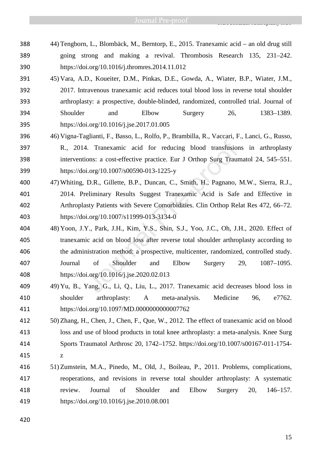- 44) Tengborn, L., Blombäck, M., Berntorp, E., 2015. Tranexamic acid an old drug still going strong and making a revival. Thrombosis Research 135, 231–242. https://doi.org/10.1016/j.thromres.2014.11.012
- 45) Vara, A.D., Koueiter, D.M., Pinkas, D.E., Gowda, A., Wiater, B.P., Wiater, J.M., 2017. Intravenous tranexamic acid reduces total blood loss in reverse total shoulder arthroplasty: a prospective, double-blinded, randomized, controlled trial. Journal of Shoulder and Elbow Surgery 26, 1383–1389. https://doi.org/10.1016/j.jse.2017.01.005
- 46) Vigna-Taglianti, F., Basso, L., Rolfo, P., Brambilla, R., Vaccari, F., Lanci, G., Russo, R., 2014. Tranexamic acid for reducing blood transfusions in arthroplasty interventions: a cost-effective practice. Eur J Orthop Surg Traumatol 24, 545–551. https://doi.org/10.1007/s00590-013-1225-y
- 47) Whiting, D.R., Gillette, B.P., Duncan, C., Smith, H., Pagnano, M.W., Sierra, R.J., 2014. Preliminary Results Suggest Tranexamic Acid is Safe and Effective in Arthroplasty Patients with Severe Comorbidities. Clin Orthop Relat Res 472, 66–72. https://doi.org/10.1007/s11999-013-3134-0
- 48) Yoon, J.Y., Park, J.H., Kim, Y.S., Shin, S.J., Yoo, J.C., Oh, J.H., 2020. Effect of tranexamic acid on blood loss after reverse total shoulder arthroplasty according to the administration method: a prospective, multicenter, randomized, controlled study. Journal of Shoulder and Elbow Surgery 29, 1087–1095. https://doi.org/10.1016/j.jse.2020.02.013 4. Tranexamic acid for reducing blood transfusion<br>ions: a cost-effective practice. Eur J Orthop Surg Traun<br>i.org/10.1007/s00590-013-1225-y<br>D.R., Gillette, B.P., Duncan, C., Smith, H., Pagnano, l<br>reliminary Results Suggest
- 49) Yu, B., Yang, G., Li, Q., Liu, L., 2017. Tranexamic acid decreases blood loss in shoulder arthroplasty: A meta-analysis. Medicine 96, e7762. https://doi.org/10.1097/MD.0000000000007762
- 50) Zhang, H., Chen, J., Chen, F., Que, W., 2012. The effect of tranexamic acid on blood loss and use of blood products in total knee arthroplasty: a meta-analysis. Knee Surg Sports Traumatol Arthrosc 20, 1742–1752. https://doi.org/10.1007/s00167-011-1754- z
- 51) Zumstein, M.A., Pinedo, M., Old, J., Boileau, P., 2011. Problems, complications, reoperations, and revisions in reverse total shoulder arthroplasty: A systematic review. Journal of Shoulder and Elbow Surgery 20, 146–157. https://doi.org/10.1016/j.jse.2010.08.001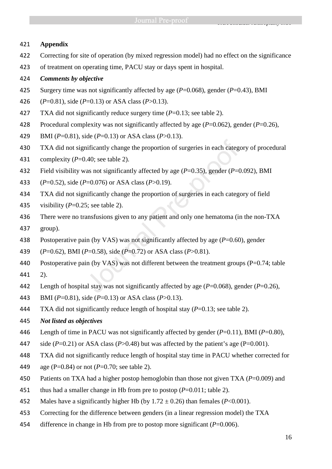# **Appendix**

- Correcting for site of operation (by mixed regression model) had no effect on the significance
- of treatment on operating time, PACU stay or days spent in hospital.
- *Comments by objective*
- Surgery time was not significantly affected by age (*P*=0.068), gender (*P*=0.43), BMI
- (*P*=0.81), side (*P*=0.13) or ASA class (*P*>0.13).
- 427 TXA did not significantly reduce surgery time (*P*=0.13; see table 2).
- Procedural complexity was not significantly affected by age (*P*=0.062), gender (*P*=0.26),
- BMI (*P*=0.81), side (*P*=0.13) or ASA class (*P*>0.13).
- TXA did not significantly change the proportion of surgeries in each category of procedural
- complexity (*P*=0.40; see table 2).
- Field visibility was not significantly affected by age (*P*=0.35), gender (*P*=0.092), BMI
- (*P*=0.52), side (*P*=0.076) or ASA class (*P*>0.19).
- TXA did not significantly change the proportion of surgeries in each category of field
- visibility (*P*=0.25; see table 2).
- There were no transfusions given to any patient and only one hematoma (in the non-TXA group).
- Postoperative pain (by VAS) was not significantly affected by age (*P*=0.60), gender
- (*P*=0.62), BMI (*P*=0.58), side (*P*=0.72) or ASA class (*P*>0.81).
- Postoperative pain (by VAS) was not different between the treatment groups (P=0.74; table 2). inficantly change the proportion of surgeries in each catege.<br>
1.40; see table 2).<br>
2.2. as not significantly affected by age ( $P=0.35$ ), gender ( $P=0$ =0.076) or ASA class ( $P>0.19$ ).<br>
inficantly change the proportion of
- Length of hospital stay was not significantly affected by age (*P*=0.068), gender (*P*=0.26),
- BMI (*P*=0.81), side (*P*=0.13) or ASA class (*P*>0.13).
- TXA did not significantly reduce length of hospital stay (*P*=0.13; see table 2).
- *Not listed as objectives*
- Length of time in PACU was not significantly affected by gender (*P*=0.11), BMI (*P*=0.80),
- 447 side  $(P=0.21)$  or ASA class  $(P>0.48)$  but was affected by the patient's age  $(P=0.001)$ .
- TXA did not significantly reduce length of hospital stay time in PACU whether corrected for
- age (P=0.84) or not (*P*=0.70; see table 2).
- Patients on TXA had a higher postop hemoglobin than those not given TXA (*P*=0.009) and
- thus had a smaller change in Hb from pre to postop (*P*=0.011; table 2).
- 452 Males have a significantly higher Hb (by  $1.72 \pm 0.26$ ) than females ( $P < 0.001$ ).
- Correcting for the difference between genders (in a linear regression model) the TXA
- difference in change in Hb from pre to postop more significant (*P*=0.006).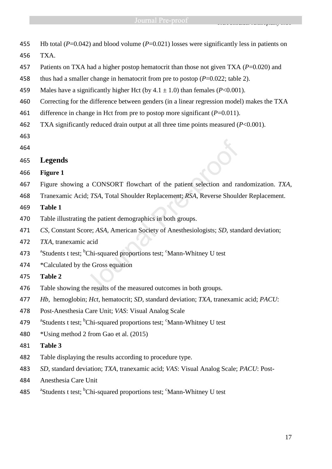Hb total (*P*=0.042) and blood volume (*P*=0.021) losses were significantly less in patients on TXA. Patients on TXA had a higher postop hematocrit than those not given TXA (*P*=0.020) and thus had a smaller change in hematocrit from pre to postop (*P*=0.022; table 2). 459 Males have a significantly higher Hct (by  $4.1 \pm 1.0$ ) than females ( $P < 0.001$ ). Correcting for the difference between genders (in a linear regression model) makes the TXA difference in change in Hct from pre to postop more significant (*P*=0.011). TXA significantly reduced drain output at all three time points measured (*P*<0.001). **Legends Figure 1**  Figure showing a CONSORT flowchart of the patient selection and randomization. *TXA*, Tranexamic Acid; *TSA*, Total Shoulder Replacement; *RSA*, Reverse Shoulder Replacement. **Table 1**  Table illustrating the patient demographics in both groups. *CS,* Constant Score; *ASA*, American Society of Anesthesiologists; *SD*, standard deviation; *TXA*, tranexamic acid 473 <sup>a</sup>Students t test; <sup>b</sup>Chi-squared proportions test; <sup>c</sup>Mann-Whitney U test \*Calculated by the Gross equation **Table 2**  Table showing the results of the measured outcomes in both groups. *Hb,* hemoglobin; *Hct,* hematocrit; *SD*, standard deviation; *TXA*, tranexamic acid; *PACU*: Post-Anesthesia Care Unit; *VAS*: Visual Analog Scale 479 <sup>a</sup>Students t test; <sup>b</sup>Chi-squared proportions test; <sup>c</sup>Mann-Whitney U test \*Using method 2 from Gao et al. (2015) **Table 3**  Table displaying the results according to procedure type. *SD*, standard deviation; *TXA*, tranexamic acid; *VAS*: Visual Analog Scale; *PACU*: Post-Anesthesia Care Unit 485 <sup>a</sup>Students t test; <sup>b</sup>Chi-squared proportions test; <sup>c</sup>Mann-Whitney U test a CONSORT flowchart of the patient selection and rad: TSA, Total Shoulder Replacement; RSA, Reverse Should<br>g the patient demographics in both groups.<br>g the patient demographics in both groups.<br>acid<br>Chi-squared proportions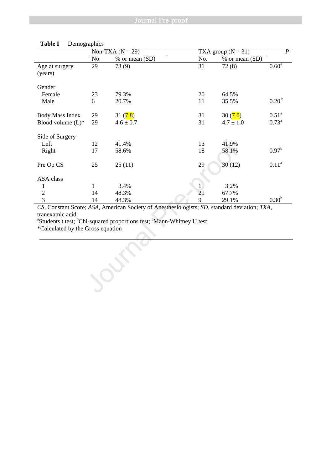|                                                      |     | Non-TXA $(N = 29)$                                                                                                                                                                                        | TXA group $(N = 31)$ |                |                   |
|------------------------------------------------------|-----|-----------------------------------------------------------------------------------------------------------------------------------------------------------------------------------------------------------|----------------------|----------------|-------------------|
|                                                      | No. | % or mean (SD)                                                                                                                                                                                            | No.                  | % or mean (SD) |                   |
| Age at surgery<br>(years)                            | 29  | 73 (9)                                                                                                                                                                                                    | 31                   | 72(8)          | 0.60 <sup>a</sup> |
| Gender                                               |     |                                                                                                                                                                                                           |                      |                |                   |
| Female                                               | 23  | 79.3%                                                                                                                                                                                                     | 20                   | 64.5%          |                   |
| Male                                                 | 6   | 20.7%                                                                                                                                                                                                     | 11                   | 35.5%          | 0.20 <sup>b</sup> |
| <b>Body Mass Index</b>                               | 29  | 31(7.8)                                                                                                                                                                                                   | 31                   | 30(7.0)        | 0.51 <sup>a</sup> |
| Blood volume $(L)^*$                                 | 29  | $4.6 \pm 0.7$                                                                                                                                                                                             | 31                   | $4.7 \pm 1.0$  | $0.73^{\rm a}$    |
| Side of Surgery                                      |     |                                                                                                                                                                                                           |                      |                |                   |
| Left                                                 | 12  | 41.4%                                                                                                                                                                                                     | 13                   | 41.9%          |                   |
| Right                                                | 17  | 58.6%                                                                                                                                                                                                     | 18                   | 58.1%          | $0.97^{\rm b}$    |
| Pre Op CS                                            | 25  | 25(11)                                                                                                                                                                                                    | 29                   | 30(12)         | 0.11 <sup>a</sup> |
| ASA class                                            |     |                                                                                                                                                                                                           |                      |                |                   |
| 1                                                    | 1   | 3.4%                                                                                                                                                                                                      | 1                    | 3.2%           |                   |
| $\sqrt{2}$                                           | 14  | 48.3%                                                                                                                                                                                                     | 21                   | 67.7%          |                   |
| $\overline{3}$                                       | 14  | 48.3%                                                                                                                                                                                                     | 9                    | 29.1%          | 0.30 <sup>b</sup> |
| tranexamic acid<br>*Calculated by the Gross equation |     | CS, Constant Score; ASA, American Society of Anesthesiologists; SD, standard deviation; TXA,<br><sup>a</sup> Students t test; <sup>b</sup> Chi-squared proportions test; <sup>c</sup> Mann-Whitney U test |                      |                |                   |
|                                                      |     |                                                                                                                                                                                                           |                      |                |                   |
|                                                      |     |                                                                                                                                                                                                           |                      |                |                   |

# **Table I** Demographics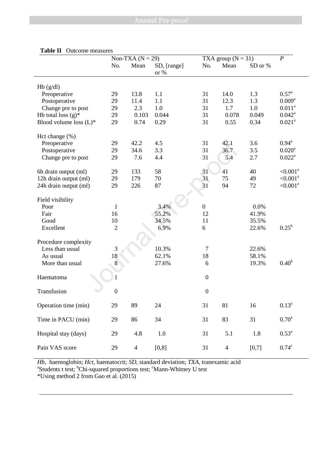|                           |                  | Non-TXA $(N = 29)$ |                     |                  | TXA group $(N = 31)$ |         |                    |  |
|---------------------------|------------------|--------------------|---------------------|------------------|----------------------|---------|--------------------|--|
|                           | No.              | Mean               | SD, [range]<br>or % | No.              | Mean                 | SD or % |                    |  |
|                           |                  |                    |                     |                  |                      |         |                    |  |
| Hb(g/dl)                  |                  |                    |                     |                  |                      |         |                    |  |
| Preoperative              | 29               | 13.8               | 1.1                 | 31               | 14.0                 | 1.3     | $0.57^{\rm a}$     |  |
| Postoperative             | 29               | 11.4               | 1.1                 | 31               | 12.3                 | 1.3     | $0.009^{a}$        |  |
| Change pre to post        | 29               | 2.3                | 1.0                 | 31               | 1.7                  | 1.0     | $0.011^a$          |  |
| Hb total loss $(g)^*$     | 29               | 0.103              | 0.044               | 31               | 0.078                | 0.049   | $0.042^{\text{a}}$ |  |
| Blood volume loss $(L)^*$ | 29               | 0.74               | 0.29                | 31               | 0.55                 | 0.34    | $0.021^{a}$        |  |
| Hct change (%)            |                  |                    |                     |                  |                      |         |                    |  |
| Preoperative              | 29               | 42.2               | 4.5                 | 31               | 42.1                 | 3.6     | $0.94^{\rm a}$     |  |
| Postoperative             | 29               | 34.6               | 3.3                 | 31               | 36.7                 | 3.5     | $0.020^{\rm a}$    |  |
| Change pre to post        | 29               | 7.6                | 4.4                 | 31               | 5.4                  | 2.7     | $0.022^{\text{a}}$ |  |
| 6h drain output (ml)      | 29               | 133                | 58                  | 31               | 41                   | 40      | $< 0.001^a$        |  |
| 12h drain output (ml)     | 29               | 179                | 70                  | 31               | 75                   | 49      | $< 0.001^a$        |  |
| 24h drain output (ml)     | 29               | 226                | 87                  | 31               | 94                   | 72      | $< 0.001^a$        |  |
|                           |                  |                    |                     |                  |                      |         |                    |  |
| Field visibility          |                  |                    |                     |                  |                      |         |                    |  |
| Poor                      | $\mathbf{1}$     |                    | 3.4%                | $\boldsymbol{0}$ |                      | 0.0%    |                    |  |
| Fair                      | 16               |                    | 55.2%               | 12               |                      | 41.9%   |                    |  |
| Good                      | 10               |                    | 34.5%               | 11               |                      | 35.5%   |                    |  |
| Excellent                 | $\overline{2}$   |                    | 6.9%                | 6                |                      | 22.6%   | $0.25^{\rm b}$     |  |
| Procedure complexity      |                  |                    |                     |                  |                      |         |                    |  |
| Less than usual           | 3                |                    | 10.3%               | $\tau$           |                      | 22.6%   |                    |  |
| As usual                  | 18               |                    | 62.1%               | 18               |                      | 58.1%   |                    |  |
| More than usual           | 8                |                    | 27.6%               | 6                |                      | 19.3%   | 0.40 <sup>b</sup>  |  |
|                           |                  |                    |                     |                  |                      |         |                    |  |
| Haematoma                 |                  |                    |                     | $\boldsymbol{0}$ |                      |         |                    |  |
| Transfusion               | $\boldsymbol{0}$ |                    |                     | $\boldsymbol{0}$ |                      |         |                    |  |
| Operation time (min)      | 29               | 89                 | 24                  | 31               | 81                   | 16      | $0.13^a$           |  |
|                           |                  |                    |                     |                  |                      |         |                    |  |
| Time in PACU (min)        | 29               | 86                 | 34                  | 31               | 83                   | 31      | 0.70 <sup>a</sup>  |  |
| Hospital stay (days)      | 29               | 4.8                | 1.0                 | 31               | 5.1                  | 1.8     | $0.53^{\rm a}$     |  |
| Pain VAS score            | 29               | $\overline{4}$     | [0, 8]              | 31               | $\overline{4}$       | [0,7]   | $0.74^c$           |  |
|                           |                  |                    |                     |                  |                      |         |                    |  |

### **Table II** Outcome measures

*Hb*, haemoglobin; *Hct*, haematocrit; *SD*, standard deviation; *TXA*, tranexamic acid <sup>a</sup>Students t test; <sup>b</sup>Chi-squared proportions test; <sup>c</sup>Mann-Whitney U test \*Using method 2 from Gao et al. (2015)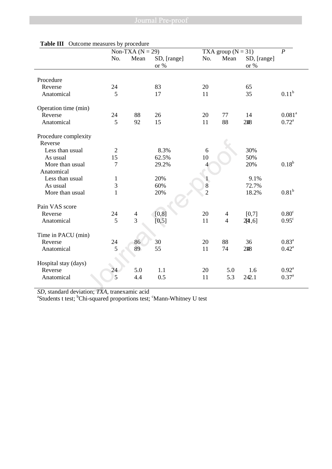|                                              | Non-TXA $(N = 29)$ |                |                     |                | TXA group $(N = 31)$ |                     |                   |  |
|----------------------------------------------|--------------------|----------------|---------------------|----------------|----------------------|---------------------|-------------------|--|
|                                              | No.                | Mean           | SD, [range]<br>or % | No.            | Mean                 | SD, [range]<br>or % | $\boldsymbol{P}$  |  |
| Procedure                                    |                    |                |                     |                |                      |                     |                   |  |
| Reverse                                      | 24                 |                | 83                  | 20             |                      | 65                  |                   |  |
| Anatomical                                   | 5                  |                | 17                  | 11             |                      | 35                  | $0.11^{b}$        |  |
| Operation time (min)                         |                    |                |                     |                |                      |                     |                   |  |
| Reverse                                      | 24                 | 88             | 26                  | 20             | 77                   | 14                  | $0.081^{a}$       |  |
| Anatomical                                   | 5                  | 92             | 15                  | 11             | 88                   | 2#8                 | $0.72^{\rm a}$    |  |
| Procedure complexity                         |                    |                |                     |                |                      |                     |                   |  |
| Reverse                                      |                    |                |                     |                |                      |                     |                   |  |
| Less than usual                              | $\mathfrak{2}$     |                | 8.3%                | $\sqrt{6}$     |                      | 30%                 |                   |  |
| As usual                                     | 15                 |                | 62.5%               | 10             |                      | 50%                 |                   |  |
| More than usual<br>Anatomical                | $\overline{7}$     |                | 29.2%               | 4              |                      | 20%                 | $0.18^{b}$        |  |
| Less than usual                              | $\mathbf{1}$       |                | 20%                 | $\mathbf{1}$   |                      | 9.1%                |                   |  |
| As usual                                     | 3                  |                | 60%                 | 8              |                      | 72.7%               |                   |  |
| More than usual                              | $\mathbf{1}$       |                | 20%                 | $\overline{2}$ |                      | 18.2%               | 0.81 <sup>b</sup> |  |
|                                              |                    |                |                     |                |                      |                     |                   |  |
| Pain VAS score                               |                    |                |                     |                |                      |                     |                   |  |
| Reverse                                      | 24                 | $\overline{4}$ | [0, 8]              | 20             | $\overline{4}$       | [0,7]               | 0.80 <sup>c</sup> |  |
| Anatomical                                   | 5                  | $\overline{3}$ | [0, 5]              | 11             | $\overline{4}$       | 244,6]              | $0.95^{\circ}$    |  |
| Time in PACU (min)                           |                    |                |                     |                |                      |                     |                   |  |
| Reverse                                      | 24                 | 86             | 30                  | 20             | 88                   | 36                  | 0.83 <sup>a</sup> |  |
| Anatomical                                   | 5                  | 89             | 55                  | 11             | 74                   | 2#8                 | $0.42^{\rm a}$    |  |
| Hospital stay (days)                         |                    |                |                     |                |                      |                     |                   |  |
| Reverse                                      | 24                 | 5.0            | 1.1                 | 20             | 5.0                  | 1.6                 | $0.92^{\text{a}}$ |  |
| Anatomical                                   | 5                  | 4.4            | 0.5                 | 11             | 5.3                  | 242.1               | $0.37^{a}$        |  |
| SD, standard deviation; TXA, tranexamic acid |                    |                |                     |                |                      |                     |                   |  |

## **Table III** Outcome measures by procedure

*SD*, standard deviation; *TXA*, tranexamic acid<br><sup>a</sup>Students t test; <sup>b</sup>Chi-squared proportions test; <sup>c</sup>Mann-Whitney U test